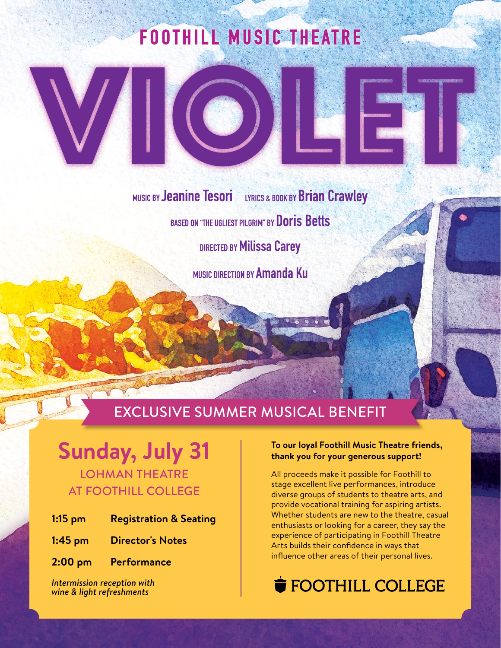# **FOOTHILL MUSIC THEATRE**

**MUSIC BY Jeanine Tesori** LYRICS & BOOK BY Brian Crawley BASED ON "THE UGLIEST PILGRIM" BY Doris Betts **DIRECTED BY Milissa Carey** MUSIC DIRECTION BY Amanda Ku

# EXCLUSIVE SUMMER MUSICAL BENEFIT

## **Sunday, July 31** LOHMAN THEATRE AT FOOTHILL COLLEGE

| $1:15$ pm | <b>Registration &amp; Seating</b> |  |  |
|-----------|-----------------------------------|--|--|
|-----------|-----------------------------------|--|--|

- **1:45 pm Director's Notes**
- **2:00 pm Performance**

*Intermission reception with wine & light refreshments*

#### **To our loyal Foothill Music Theatre friends, thank you for your generous support!**

All proceeds make it possible for Foothill to stage excellent live performances, introduce diverse groups of students to theatre arts, and provide vocational training for aspiring artists. Whether students are new to the theatre, casual enthusiasts or looking for a career, they say the experience of participating in Foothill Theatre Arts builds their confidence in ways that influence other areas of their personal lives.

#### $\mathbf{F}\cap \Omega$ Tiil  $\Omega$ I FUU I FILL CULL